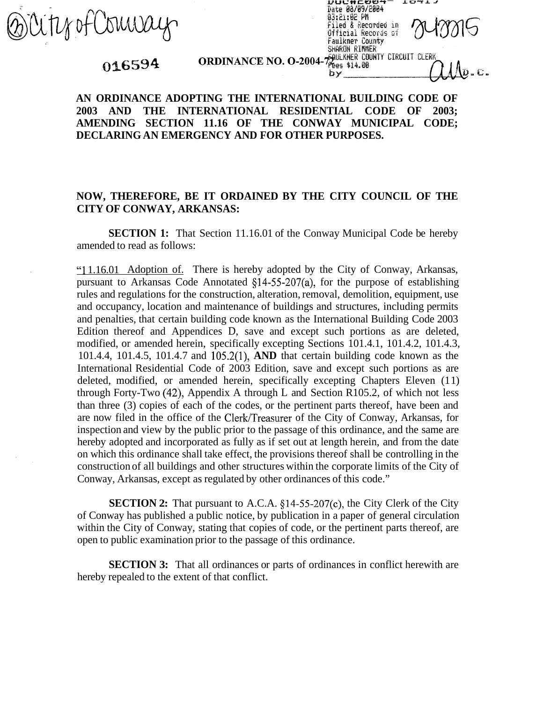Brity of Comeay

## 016594

|                                                          | 83:Cl:0C MM<br>Filed & Recorded in<br>Official Records of<br>Faulkner County<br>SHARON RIMMER |  |
|----------------------------------------------------------|-----------------------------------------------------------------------------------------------|--|
|                                                          |                                                                                               |  |
| <b>ORDINANCE NO. O-2004-7 PRES \$14.00 CIRCUIT CLERK</b> |                                                                                               |  |
|                                                          |                                                                                               |  |
|                                                          |                                                                                               |  |

Date 08/09/2004

エロマエコ

## **AN ORDINANCE ADOPTING THE INTERNATIONAL BUILDING CODE OF 2003 AND THE INTERNATIONAL RESIDENTIAL CODE OF 2003; AMENDING SECTION 11.16 OF THE CONWAY MUNICIPAL CODE; DECLARING AN EMERGENCY AND FOR OTHER PURPOSES.**

## **NOW, THEREFORE, BE IT ORDAINED BY THE CITY COUNCIL OF THE CITY OF CONWAY, ARKANSAS:**

**SECTION 1:** That Section 11.16.01 of the Conway Municipal Code be hereby amended to read as follows:

"1 1.16.01 Adoption of. There is hereby adopted by the City of Conway, Arkansas, pursuant to Arkansas Code Annotated §14-55-207(a), for the purpose of establishing rules and regulations for the construction, alteration, removal, demolition, equipment, use and occupancy, location and maintenance of buildings and structures, including permits and penalties, that certain building code known as the International Building Code 2003 Edition thereof and Appendices D, save and except such portions as are deleted, modified, or amended herein, specifically excepting Sections 101.4.1, 101.4.2, 101.4.3, 101.4.4, 101.4.5, 101.4.7 and 105.2(1), **AND** that certain building code known as the International Residential Code of 2003 Edition, save and except such portions as are deleted, modified, or amended herein, specifically excepting Chapters Eleven (11) through Forty-Two (42), Appendix A through L and Section R105.2, of which not less than three (3) copies of each of the codes, or the pertinent parts thereof, have been and are now filed in the office of the Clerk/Treasurer of the City of Conway, Arkansas, for inspection and view by the public prior to the passage of this ordinance, and the same are hereby adopted and incorporated as fully as if set out at length herein, and from the date on which this ordinance shall take effect, the provisions thereof shall be controlling in the construction of all buildings and other structures within the corporate limits of the City of Conway, Arkansas, except as regulated by other ordinances of this code."

**SECTION 2:** That pursuant to A.C.A. §14-55-207(c), the City Clerk of the City of Conway has published a public notice, by publication in a paper of general circulation within the City of Conway, stating that copies of code, or the pertinent parts thereof, are open to public examination prior to the passage of this ordinance.

**SECTION 3:** That all ordinances or parts of ordinances in conflict herewith are hereby repealed to the extent of that conflict.